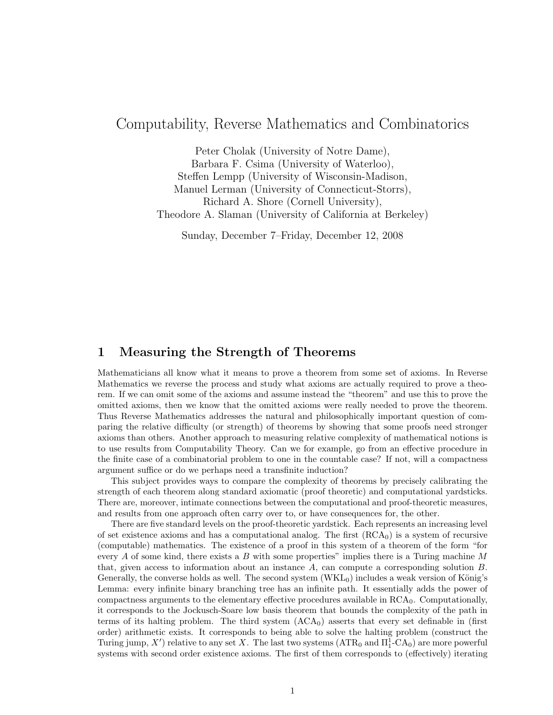# Computability, Reverse Mathematics and Combinatorics

Peter Cholak (University of Notre Dame), Barbara F. Csima (University of Waterloo), Steffen Lempp (University of Wisconsin-Madison, Manuel Lerman (University of Connecticut-Storrs), Richard A. Shore (Cornell University), Theodore A. Slaman (University of California at Berkeley)

Sunday, December 7–Friday, December 12, 2008

# 1 Measuring the Strength of Theorems

Mathematicians all know what it means to prove a theorem from some set of axioms. In Reverse Mathematics we reverse the process and study what axioms are actually required to prove a theorem. If we can omit some of the axioms and assume instead the "theorem" and use this to prove the omitted axioms, then we know that the omitted axioms were really needed to prove the theorem. Thus Reverse Mathematics addresses the natural and philosophically important question of comparing the relative difficulty (or strength) of theorems by showing that some proofs need stronger axioms than others. Another approach to measuring relative complexity of mathematical notions is to use results from Computability Theory. Can we for example, go from an effective procedure in the finite case of a combinatorial problem to one in the countable case? If not, will a compactness argument suffice or do we perhaps need a transfinite induction?

This subject provides ways to compare the complexity of theorems by precisely calibrating the strength of each theorem along standard axiomatic (proof theoretic) and computational yardsticks. There are, moreover, intimate connections between the computational and proof-theoretic measures, and results from one approach often carry over to, or have consequences for, the other.

There are five standard levels on the proof-theoretic yardstick. Each represents an increasing level of set existence axioms and has a computational analog. The first  $(RCA<sub>0</sub>)$  is a system of recursive (computable) mathematics. The existence of a proof in this system of a theorem of the form "for every A of some kind, there exists a B with some properties" implies there is a Turing machine  $M$ that, given access to information about an instance  $A$ , can compute a corresponding solution  $B$ . Generally, the converse holds as well. The second system  $(WKL_0)$  includes a weak version of König's Lemma: every infinite binary branching tree has an infinite path. It essentially adds the power of compactness arguments to the elementary effective procedures available in  $RCA<sub>0</sub>$ . Computationally, it corresponds to the Jockusch-Soare low basis theorem that bounds the complexity of the path in terms of its halting problem. The third system  $(ACA<sub>0</sub>)$  asserts that every set definable in (first order) arithmetic exists. It corresponds to being able to solve the halting problem (construct the Turing jump, X') relative to any set X. The last two systems  $(ATR_0$  and  $\Pi_1^1$ -CA<sub>0</sub>) are more powerful systems with second order existence axioms. The first of them corresponds to (effectively) iterating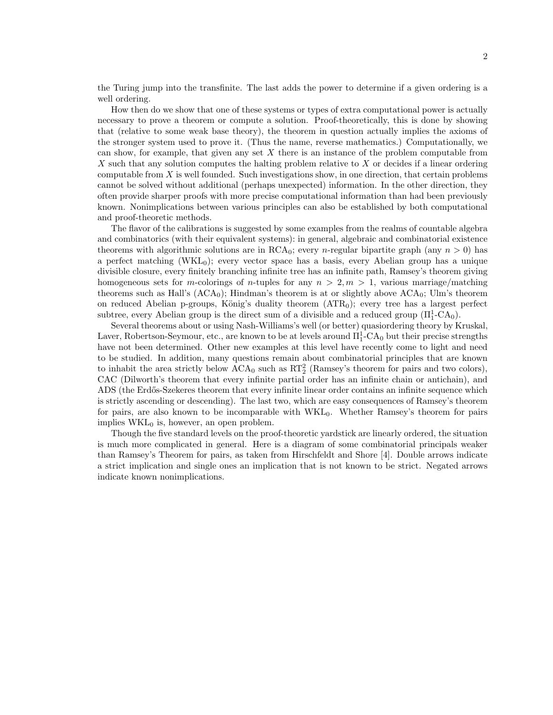the Turing jump into the transfinite. The last adds the power to determine if a given ordering is a well ordering.

How then do we show that one of these systems or types of extra computational power is actually necessary to prove a theorem or compute a solution. Proof-theoretically, this is done by showing that (relative to some weak base theory), the theorem in question actually implies the axioms of the stronger system used to prove it. (Thus the name, reverse mathematics.) Computationally, we can show, for example, that given any set  $X$  there is an instance of the problem computable from X such that any solution computes the halting problem relative to  $X$  or decides if a linear ordering computable from  $X$  is well founded. Such investigations show, in one direction, that certain problems cannot be solved without additional (perhaps unexpected) information. In the other direction, they often provide sharper proofs with more precise computational information than had been previously known. Nonimplications between various principles can also be established by both computational and proof-theoretic methods.

The flavor of the calibrations is suggested by some examples from the realms of countable algebra and combinatorics (with their equivalent systems): in general, algebraic and combinatorial existence theorems with algorithmic solutions are in  $RCA_0$ ; every *n*-regular bipartite graph (any  $n > 0$ ) has a perfect matching  $(WKL_0)$ ; every vector space has a basis, every Abelian group has a unique divisible closure, every finitely branching infinite tree has an infinite path, Ramsey's theorem giving homogeneous sets for m-colorings of n-tuples for any  $n > 2, m > 1$ , various marriage/matching theorems such as Hall's  $(ACA_0)$ ; Hindman's theorem is at or slightly above  $ACA_0$ ; Ulm's theorem on reduced Abelian p-groups, König's duality theorem  $(ATR<sub>0</sub>)$ ; every tree has a largest perfect subtree, every Abelian group is the direct sum of a divisible and a reduced group  $(\Pi_1^1$ -CA<sub>0</sub>).

Several theorems about or using Nash-Williams's well (or better) quasiordering theory by Kruskal, Laver, Robertson-Seymour, etc., are known to be at levels around  $\Pi^1_1\text{-CA}_0$  but their precise strengths have not been determined. Other new examples at this level have recently come to light and need to be studied. In addition, many questions remain about combinatorial principles that are known to inhabit the area strictly below  $ACA_0$  such as  $RT_2^2$  (Ramsey's theorem for pairs and two colors), CAC (Dilworth's theorem that every infinite partial order has an infinite chain or antichain), and ADS (the Erdős-Szekeres theorem that every infinite linear order contains an infinite sequence which is strictly ascending or descending). The last two, which are easy consequences of Ramsey's theorem for pairs, are also known to be incomparable with  $WKL_0$ . Whether Ramsey's theorem for pairs implies  $WKL_0$  is, however, an open problem.

Though the five standard levels on the proof-theoretic yardstick are linearly ordered, the situation is much more complicated in general. Here is a diagram of some combinatorial principals weaker than Ramsey's Theorem for pairs, as taken from Hirschfeldt and Shore [4]. Double arrows indicate a strict implication and single ones an implication that is not known to be strict. Negated arrows indicate known nonimplications.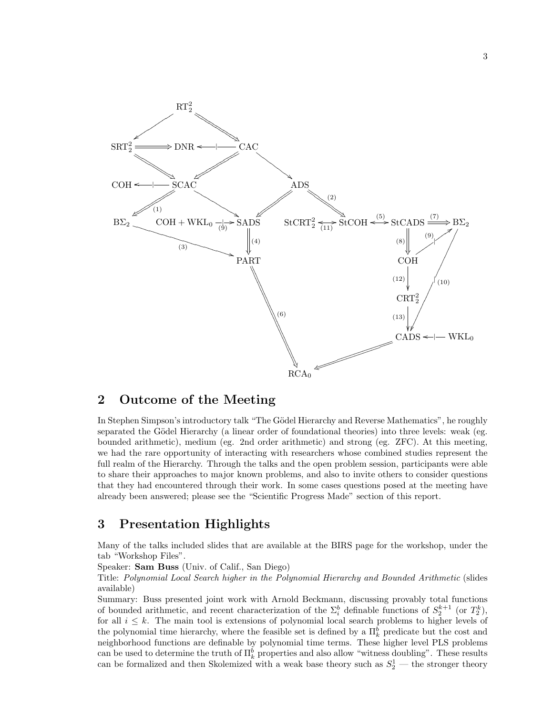

# 2 Outcome of the Meeting

In Stephen Simpson's introductory talk "The Gödel Hierarchy and Reverse Mathematics", he roughly separated the Gödel Hierarchy (a linear order of foundational theories) into three levels: weak (eg. bounded arithmetic), medium (eg. 2nd order arithmetic) and strong (eg. ZFC). At this meeting, we had the rare opportunity of interacting with researchers whose combined studies represent the full realm of the Hierarchy. Through the talks and the open problem session, participants were able to share their approaches to major known problems, and also to invite others to consider questions that they had encountered through their work. In some cases questions posed at the meeting have already been answered; please see the "Scientific Progress Made" section of this report.

# 3 Presentation Highlights

Many of the talks included slides that are available at the BIRS page for the workshop, under the tab "Workshop Files".

Speaker: Sam Buss (Univ. of Calif., San Diego)

Title: Polynomial Local Search higher in the Polynomial Hierarchy and Bounded Arithmetic (slides available)

Summary: Buss presented joint work with Arnold Beckmann, discussing provably total functions of bounded arithmetic, and recent characterization of the  $\Sigma_i^b$  definable functions of  $S_2^{k+1}$  (or  $T_2^k$ ), for all  $i \leq k$ . The main tool is extensions of polynomial local search problems to higher levels of the polynomial time hierarchy, where the feasible set is defined by a  $\Pi^b_k$  predicate but the cost and neighborhood functions are definable by polynomial time terms. These higher level PLS problems can be used to determine the truth of  $\Pi_k^b$  properties and also allow "witness doubling". These results can be formalized and then Skolemized with a weak base theory such as  $S_2^1$  — the stronger theory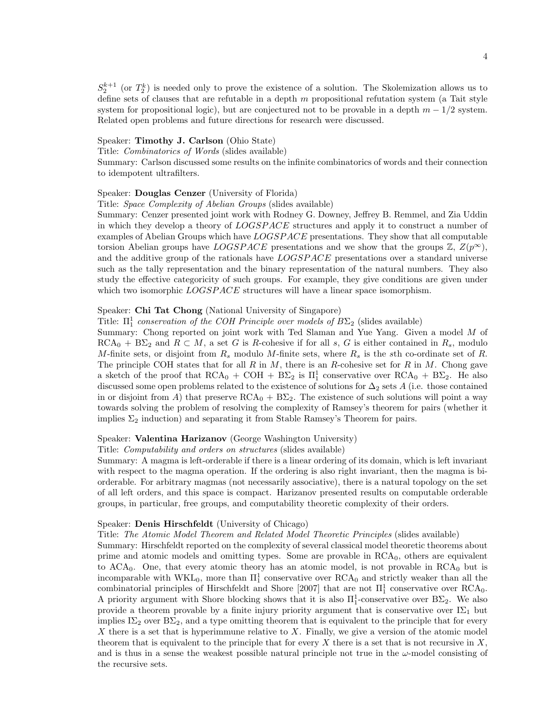$S_2^{k+1}$  (or  $T_2^k$ ) is needed only to prove the existence of a solution. The Skolemization allows us to define sets of clauses that are refutable in a depth  $m$  propositional refutation system (a Tait style system for propositional logic), but are conjectured not to be provable in a depth  $m - 1/2$  system. Related open problems and future directions for research were discussed.

# Speaker: Timothy J. Carlson (Ohio State)

Title: Combinatorics of Words (slides available)

Summary: Carlson discussed some results on the infinite combinatorics of words and their connection to idempotent ultrafilters.

## Speaker: Douglas Cenzer (University of Florida)

Title: Space Complexity of Abelian Groups (slides available)

Summary: Cenzer presented joint work with Rodney G. Downey, Jeffrey B. Remmel, and Zia Uddin in which they develop a theory of LOGSPACE structures and apply it to construct a number of examples of Abelian Groups which have  $LOGSPACE$  presentations. They show that all computable torsion Abelian groups have LOGSPACE presentations and we show that the groups  $\mathbb{Z}, Z(p^{\infty}),$ and the additive group of the rationals have LOGSPACE presentations over a standard universe such as the tally representation and the binary representation of the natural numbers. They also study the effective categoricity of such groups. For example, they give conditions are given under which two isomorphic *LOGSPACE* structures will have a linear space isomorphism.

# Speaker: Chi Tat Chong (National University of Singapore)

Title:  $\Pi_1^1$  conservation of the COH Principle over models of  $B\Sigma_2$  (slides available)

Summary: Chong reported on joint work with Ted Slaman and Yue Yang. Given a model M of  $RCA_0 + B\Sigma_2$  and  $R \subset M$ , a set G is R-cohesive if for all s, G is either contained in  $R_s$ , modulo M-finite sets, or disjoint from  $R_s$  modulo M-finite sets, where  $R_s$  is the sth co-ordinate set of R. The principle COH states that for all R in M, there is an R-cohesive set for R in M. Chong gave a sketch of the proof that  $RCA_0 + COH + B\Sigma_2$  is  $\Pi_1^1$  conservative over  $RCA_0 + B\Sigma_2$ . He also discussed some open problems related to the existence of solutions for  $\Delta_2$  sets A (i.e. those contained in or disjoint from A) that preserve  $RCA_0 + B\Sigma_2$ . The existence of such solutions will point a way towards solving the problem of resolving the complexity of Ramsey's theorem for pairs (whether it implies  $\Sigma_2$  induction) and separating it from Stable Ramsey's Theorem for pairs.

### Speaker: Valentina Harizanov (George Washington University)

Title: Computability and orders on structures (slides available)

Summary: A magma is left-orderable if there is a linear ordering of its domain, which is left invariant with respect to the magma operation. If the ordering is also right invariant, then the magma is biorderable. For arbitrary magmas (not necessarily associative), there is a natural topology on the set of all left orders, and this space is compact. Harizanov presented results on computable orderable groups, in particular, free groups, and computability theoretic complexity of their orders.

#### Speaker: Denis Hirschfeldt (University of Chicago)

Title: The Atomic Model Theorem and Related Model Theoretic Principles (slides available)

Summary: Hirschfeldt reported on the complexity of several classical model theoretic theorems about prime and atomic models and omitting types. Some are provable in RCA<sub>0</sub>, others are equivalent to  $ACA<sub>0</sub>$ . One, that every atomic theory has an atomic model, is not provable in  $RCA<sub>0</sub>$  but is incomparable with  $WKL_0$ , more than  $\Pi_1^1$  conservative over  $RCA_0$  and strictly weaker than all the combinatorial principles of Hirschfeldt and Shore [2007] that are not  $\Pi_1^1$  conservative over RCA<sub>0</sub>. A priority argument with Shore blocking shows that it is also  $\Pi_1^1$ -conservative over  $B\Sigma_2$ . We also provide a theorem provable by a finite injury priority argument that is conservative over  $I\Sigma_1$  but implies  $I\Sigma_2$  over  $B\Sigma_2$ , and a type omitting theorem that is equivalent to the principle that for every X there is a set that is hyperimmune relative to  $X$ . Finally, we give a version of the atomic model theorem that is equivalent to the principle that for every X there is a set that is not recursive in  $X$ , and is thus in a sense the weakest possible natural principle not true in the  $\omega$ -model consisting of the recursive sets.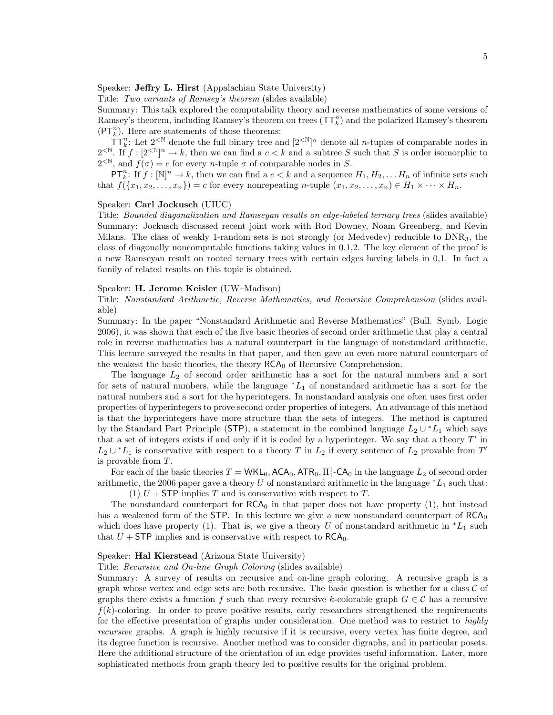Speaker: Jeffry L. Hirst (Appalachian State University)

Title: Two variants of Ramsey's theorem (slides available)

Summary: This talk explored the computability theory and reverse mathematics of some versions of Ramsey's theorem, including Ramsey's theorem on trees  $(\mathsf{T} \mathsf{T}^n_k)$  and the polarized Ramsey's theorem  $(\mathsf{PT}_{k}^{n})$ . Here are statements of those theorems:

 $\overline{\mathsf{T}}\mathsf{T}_{k}^{n}$ : Let  $2^{< N}$  denote the full binary tree and  $[2^{< N}]^n$  denote all *n*-tuples of comparable nodes in  $2^{\leq N}$ . If  $f: [2^{\leq N}]^n \to k$ , then we can find a  $c < k$  and a subtree S such that S is order isomorphic to  $2^{< N}$ , and  $f(\sigma) = c$  for every *n*-tuple  $\sigma$  of comparable nodes in S.

 $\mathsf{PT}_{k}^{n}$ : If  $f: [\mathbb{N}]^{n} \to k$ , then we can find a  $c < k$  and a sequence  $H_1, H_2, \ldots H_n$  of infinite sets such that  $f(\lbrace x_1, x_2, \ldots, x_n \rbrace) = c$  for every nonrepeating n-tuple  $(x_1, x_2, \ldots, x_n) \in H_1 \times \cdots \times H_n$ .

## Speaker: Carl Jockusch (UIUC)

Title: Bounded diagonalization and Ramseyan results on edge-labeled ternary trees (slides available) Summary: Jockusch discussed recent joint work with Rod Downey, Noam Greenberg, and Kevin Milans. The class of weakly 1-random sets is not strongly (or Medvedev) reducible to  $DNR<sub>3</sub>$ , the class of diagonally noncomputable functions taking values in 0,1,2. The key element of the proof is a new Ramseyan result on rooted ternary trees with certain edges having labels in 0,1. In fact a family of related results on this topic is obtained.

## Speaker: H. Jerome Keisler (UW–Madison)

Title: Nonstandard Arithmetic, Reverse Mathematics, and Recursive Comprehension (slides available)

Summary: In the paper "Nonstandard Arithmetic and Reverse Mathematics" (Bull. Symb. Logic 2006), it was shown that each of the five basic theories of second order arithmetic that play a central role in reverse mathematics has a natural counterpart in the language of nonstandard arithmetic. This lecture surveyed the results in that paper, and then gave an even more natural counterpart of the weakest the basic theories, the theory  $RCA<sub>0</sub>$  of Recursive Comprehension.

The language  $L_2$  of second order arithmetic has a sort for the natural numbers and a sort for sets of natural numbers, while the language  $*L_1$  of nonstandard arithmetic has a sort for the natural numbers and a sort for the hyperintegers. In nonstandard analysis one often uses first order properties of hyperintegers to prove second order properties of integers. An advantage of this method is that the hyperintegers have more structure than the sets of integers. The method is captured by the Standard Part Principle (STP), a statement in the combined language  $L_2 \cup {}^*L_1$  which says that a set of integers exists if and only if it is coded by a hyperinteger. We say that a theory  $T'$  in  $L_2 \cup {}^*L_1$  is conservative with respect to a theory T in  $L_2$  if every sentence of  $L_2$  provable from T' is provable from T.

For each of the basic theories  $T = \mathsf{WKL}_0$ ,  $\mathsf{ACA}_0$ ,  $\mathsf{ATR}_0$ ,  $\Pi_1^1\text{-}\mathsf{CA}_0$  in the language  $L_2$  of second order arithmetic, the 2006 paper gave a theory U of nonstandard arithmetic in the language  $^*L_1$  such that:

(1)  $U$  + STP implies T and is conservative with respect to T.

The nonstandard counterpart for  $RCA_0$  in that paper does not have property (1), but instead has a weakened form of the STP. In this lecture we give a new nonstandard counterpart of  $RCA<sub>0</sub>$ which does have property (1). That is, we give a theory U of nonstandard arithmetic in  $^*L_1$  such that  $U + STP$  implies and is conservative with respect to  $RCA_0$ .

## Speaker: Hal Kierstead (Arizona State University)

Title: Recursive and On-line Graph Coloring (slides available)

Summary: A survey of results on recursive and on-line graph coloring. A recursive graph is a graph whose vertex and edge sets are both recursive. The basic question is whether for a class  $\mathcal C$  of graphs there exists a function f such that every recursive k-colorable graph  $G \in \mathcal{C}$  has a recursive  $f(k)$ -coloring. In order to prove positive results, early researchers strengthened the requirements for the effective presentation of graphs under consideration. One method was to restrict to *highly* recursive graphs. A graph is highly recursive if it is recursive, every vertex has finite degree, and its degree function is recursive. Another method was to consider digraphs, and in particular posets. Here the additional structure of the orientation of an edge provides useful information. Later, more sophisticated methods from graph theory led to positive results for the original problem.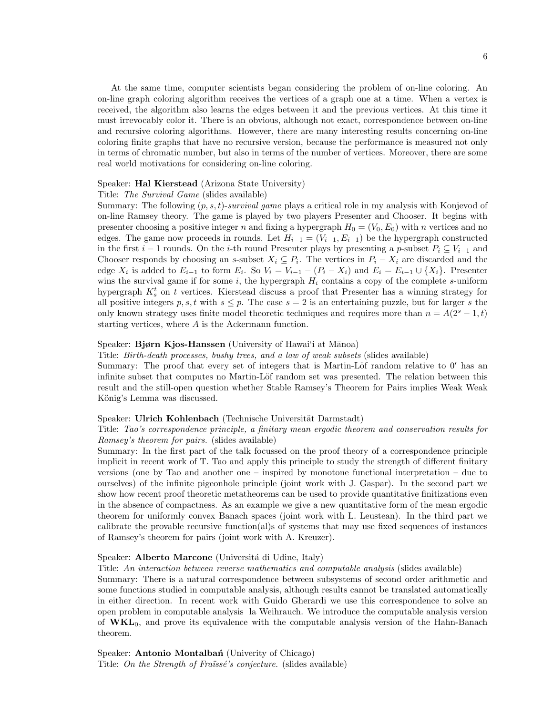At the same time, computer scientists began considering the problem of on-line coloring. An on-line graph coloring algorithm receives the vertices of a graph one at a time. When a vertex is received, the algorithm also learns the edges between it and the previous vertices. At this time it must irrevocably color it. There is an obvious, although not exact, correspondence between on-line and recursive coloring algorithms. However, there are many interesting results concerning on-line coloring finite graphs that have no recursive version, because the performance is measured not only in terms of chromatic number, but also in terms of the number of vertices. Moreover, there are some real world motivations for considering on-line coloring.

# Speaker: Hal Kierstead (Arizona State University)

### Title: The Survival Game (slides available)

Summary: The following  $(p, s, t)$ -survival game plays a critical role in my analysis with Konjevod of on-line Ramsey theory. The game is played by two players Presenter and Chooser. It begins with presenter choosing a positive integer n and fixing a hypergraph  $H_0 = (V_0, E_0)$  with n vertices and no edges. The game now proceeds in rounds. Let  $H_{i-1} = (V_{i-1}, E_{i-1})$  be the hypergraph constructed in the first  $i-1$  rounds. On the i-th round Presenter plays by presenting a p-subset  $P_i \subseteq V_{i-1}$  and Chooser responds by choosing an s-subset  $X_i \subseteq P_i$ . The vertices in  $P_i - X_i$  are discarded and the edge  $X_i$  is added to  $E_{i-1}$  to form  $E_i$ . So  $V_i = V_{i-1} - (P_i - X_i)$  and  $E_i = E_{i-1} \cup \{X_i\}$ . Presenter wins the survival game if for some  $i$ , the hypergraph  $H_i$  contains a copy of the complete s-uniform hypergraph  $K_s^t$  on t vertices. Kierstead discuss a proof that Presenter has a winning strategy for all positive integers p, s, t with  $s \leq p$ . The case  $s = 2$  is an entertaining puzzle, but for larger s the only known strategy uses finite model theoretic techniques and requires more than  $n = A(2<sup>s</sup> - 1, t)$ starting vertices, where A is the Ackermann function.

### Speaker: Bjørn Kjos-Hanssen (University of Hawai'i at Mānoa)

Title: Birth-death processes, bushy trees, and a law of weak subsets (slides available)

Summary: The proof that every set of integers that is Martin-Löf random relative to  $0'$  has an infinite subset that computes no Martin-Löf random set was presented. The relation between this result and the still-open question whether Stable Ramsey's Theorem for Pairs implies Weak Weak König's Lemma was discussed.

## Speaker: Ulrich Kohlenbach (Technische Universität Darmstadt)

# Title: Tao's correspondence principle, a finitary mean ergodic theorem and conservation results for Ramsey's theorem for pairs. (slides available)

Summary: In the first part of the talk focussed on the proof theory of a correspondence principle implicit in recent work of T. Tao and apply this principle to study the strength of different finitary versions (one by Tao and another one – inspired by monotone functional interpretation – due to ourselves) of the infinite pigeonhole principle (joint work with J. Gaspar). In the second part we show how recent proof theoretic metatheorems can be used to provide quantitative finitizations even in the absence of compactness. As an example we give a new quantitative form of the mean ergodic theorem for uniformly convex Banach spaces (joint work with L. Leustean). In the third part we calibrate the provable recursive function(al)s of systems that may use fixed sequences of instances of Ramsey's theorem for pairs (joint work with A. Kreuzer).

### Speaker: Alberto Marcone (Universitá di Udine, Italy)

Title: An interaction between reverse mathematics and computable analysis (slides available)

Summary: There is a natural correspondence between subsystems of second order arithmetic and some functions studied in computable analysis, although results cannot be translated automatically in either direction. In recent work with Guido Gherardi we use this correspondence to solve an open problem in computable analysis la Weihrauch. We introduce the computable analysis version of  $\mathbf{WKL}_0$ , and prove its equivalence with the computable analysis version of the Hahn-Banach theorem.

Speaker: **Antonio Montalban** (Univerity of Chicago) Title: On the Strength of Fraïssé's conjecture. (slides available)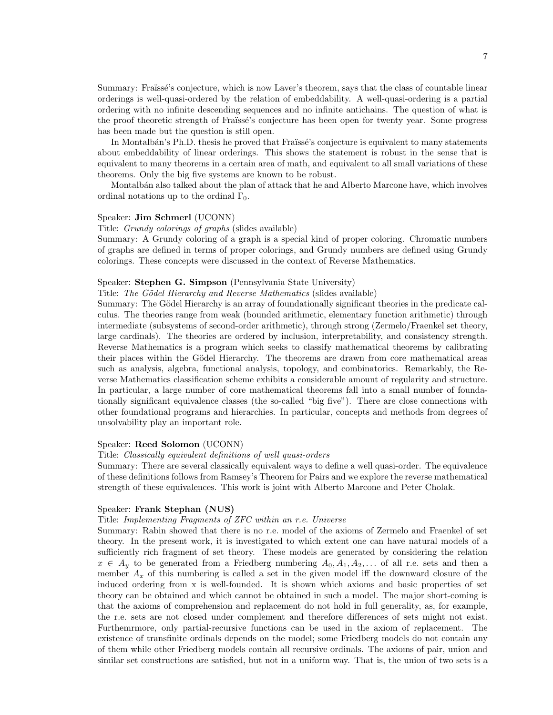Summary: Fraüssé's conjecture, which is now Laver's theorem, says that the class of countable linear orderings is well-quasi-ordered by the relation of embeddability. A well-quasi-ordering is a partial ordering with no infinite descending sequences and no infinite antichains. The question of what is the proof theoretic strength of Fraïssé's conjecture has been open for twenty year. Some progress has been made but the question is still open.

In Montalbán's Ph.D. thesis he proved that Fraüssé's conjecture is equivalent to many statements about embeddability of linear orderings. This shows the statement is robust in the sense that is equivalent to many theorems in a certain area of math, and equivalent to all small variations of these theorems. Only the big five systems are known to be robust.

Montalbán also talked about the plan of attack that he and Alberto Marcone have, which involves ordinal notations up to the ordinal  $\Gamma_0$ .

### Speaker: Jim Schmerl (UCONN)

Title: Grundy colorings of graphs (slides available)

Summary: A Grundy coloring of a graph is a special kind of proper coloring. Chromatic numbers of graphs are defined in terms of proper colorings, and Grundy numbers are defined using Grundy colorings. These concepts were discussed in the context of Reverse Mathematics.

#### Speaker: Stephen G. Simpson (Pennsylvania State University)

Title: The Gödel Hierarchy and Reverse Mathematics (slides available)

Summary: The Gödel Hierarchy is an array of foundationally significant theories in the predicate calculus. The theories range from weak (bounded arithmetic, elementary function arithmetic) through intermediate (subsystems of second-order arithmetic), through strong (Zermelo/Fraenkel set theory, large cardinals). The theories are ordered by inclusion, interpretability, and consistency strength. Reverse Mathematics is a program which seeks to classify mathematical theorems by calibrating their places within the Gödel Hierarchy. The theorems are drawn from core mathematical areas such as analysis, algebra, functional analysis, topology, and combinatorics. Remarkably, the Reverse Mathematics classification scheme exhibits a considerable amount of regularity and structure. In particular, a large number of core mathematical theorems fall into a small number of foundationally significant equivalence classes (the so-called "big five"). There are close connections with other foundational programs and hierarchies. In particular, concepts and methods from degrees of unsolvability play an important role.

## Speaker: Reed Solomon (UCONN)

#### Title: Classically equivalent definitions of well quasi-orders

Summary: There are several classically equivalent ways to define a well quasi-order. The equivalence of these definitions follows from Ramsey's Theorem for Pairs and we explore the reverse mathematical strength of these equivalences. This work is joint with Alberto Marcone and Peter Cholak.

### Speaker: Frank Stephan (NUS)

### Title: Implementing Fragments of ZFC within an r.e. Universe

Summary: Rabin showed that there is no r.e. model of the axioms of Zermelo and Fraenkel of set theory. In the present work, it is investigated to which extent one can have natural models of a sufficiently rich fragment of set theory. These models are generated by considering the relation  $x \in A_y$  to be generated from a Friedberg numbering  $A_0, A_1, A_2, \ldots$  of all r.e. sets and then a member  $A_x$  of this numbering is called a set in the given model iff the downward closure of the induced ordering from x is well-founded. It is shown which axioms and basic properties of set theory can be obtained and which cannot be obtained in such a model. The major short-coming is that the axioms of comprehension and replacement do not hold in full generality, as, for example, the r.e. sets are not closed under complement and therefore differences of sets might not exist. Furthemrmore, only partial-recursive functions can be used in the axiom of replacement. The existence of transfinite ordinals depends on the model; some Friedberg models do not contain any of them while other Friedberg models contain all recursive ordinals. The axioms of pair, union and similar set constructions are satisfied, but not in a uniform way. That is, the union of two sets is a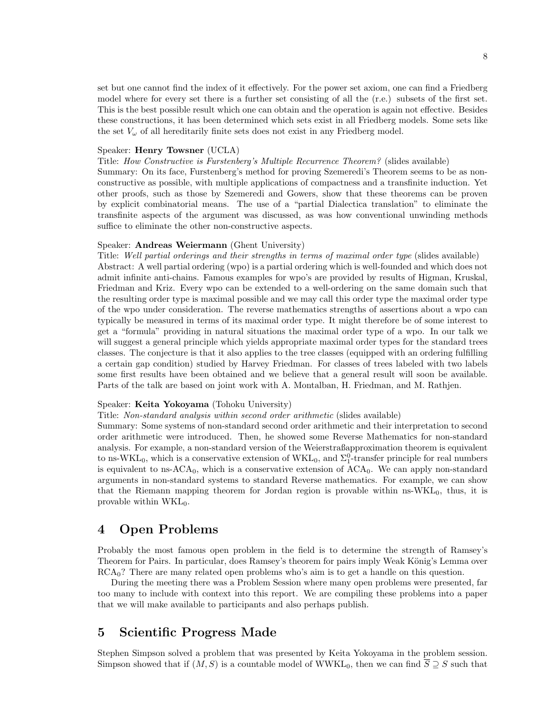set but one cannot find the index of it effectively. For the power set axiom, one can find a Friedberg model where for every set there is a further set consisting of all the (r.e.) subsets of the first set. This is the best possible result which one can obtain and the operation is again not effective. Besides these constructions, it has been determined which sets exist in all Friedberg models. Some sets like the set  $V_{\omega}$  of all hereditarily finite sets does not exist in any Friedberg model.

### Speaker: Henry Towsner (UCLA)

Title: How Constructive is Furstenberg's Multiple Recurrence Theorem? (slides available) Summary: On its face, Furstenberg's method for proving Szemeredi's Theorem seems to be as nonconstructive as possible, with multiple applications of compactness and a transfinite induction. Yet other proofs, such as those by Szemeredi and Gowers, show that these theorems can be proven by explicit combinatorial means. The use of a "partial Dialectica translation" to eliminate the transfinite aspects of the argument was discussed, as was how conventional unwinding methods suffice to eliminate the other non-constructive aspects.

### Speaker: Andreas Weiermann (Ghent University)

Title: Well partial orderings and their strengths in terms of maximal order type (slides available) Abstract: A well partial ordering (wpo) is a partial ordering which is well-founded and which does not admit infinite anti-chains. Famous examples for wpo's are provided by results of Higman, Kruskal, Friedman and Kriz. Every wpo can be extended to a well-ordering on the same domain such that the resulting order type is maximal possible and we may call this order type the maximal order type of the wpo under consideration. The reverse mathematics strengths of assertions about a wpo can typically be measured in terms of its maximal order type. It might therefore be of some interest to get a "formula" providing in natural situations the maximal order type of a wpo. In our talk we will suggest a general principle which yields appropriate maximal order types for the standard trees classes. The conjecture is that it also applies to the tree classes (equipped with an ordering fulfilling a certain gap condition) studied by Harvey Friedman. For classes of trees labeled with two labels some first results have been obtained and we believe that a general result will soon be available. Parts of the talk are based on joint work with A. Montalban, H. Friedman, and M. Rathjen.

### Speaker: Keita Yokoyama (Tohoku University)

Title: Non-standard analysis within second order arithmetic (slides available)

Summary: Some systems of non-standard second order arithmetic and their interpretation to second order arithmetic were introduced. Then, he showed some Reverse Mathematics for non-standard analysis. For example, a non-standard version of the Weierstraßapproximation theorem is equivalent to ns-WKL<sub>0</sub>, which is a conservative extension of  $\text{WKL}_0$ , and  $\Sigma_1^0$ -transfer principle for real numbers is equivalent to ns- $ACA_0$ , which is a conservative extension of  $ACA_0$ . We can apply non-standard arguments in non-standard systems to standard Reverse mathematics. For example, we can show that the Riemann mapping theorem for Jordan region is provable within ns-WKL0, thus, it is provable within  $\text{WKL}_0$ .

# 4 Open Problems

Probably the most famous open problem in the field is to determine the strength of Ramsey's Theorem for Pairs. In particular, does Ramsey's theorem for pairs imply Weak König's Lemma over  $RCA<sub>0</sub>$ ? There are many related open problems who's aim is to get a handle on this question.

During the meeting there was a Problem Session where many open problems were presented, far too many to include with context into this report. We are compiling these problems into a paper that we will make available to participants and also perhaps publish.

# 5 Scientific Progress Made

Stephen Simpson solved a problem that was presented by Keita Yokoyama in the problem session. Simpson showed that if  $(M, S)$  is a countable model of WWKL<sub>0</sub>, then we can find  $\overline{S} \supseteq S$  such that